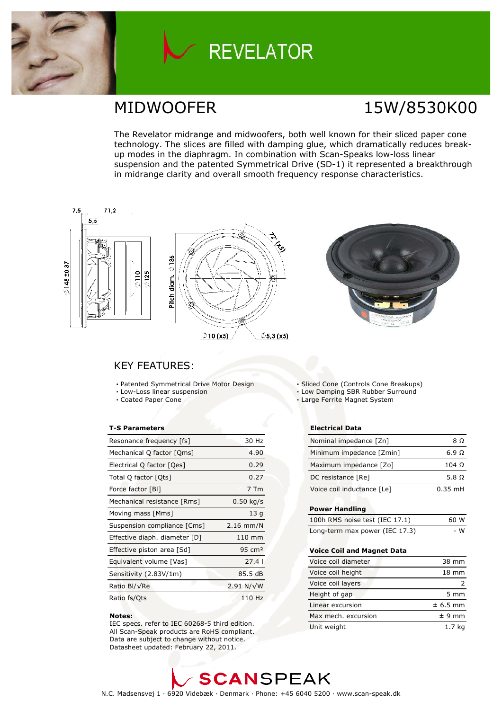

# **REVELATOR**

# MIDWOOFER 15W/8530K00

The Revelator midrange and midwoofers, both well known for their sliced paper cone technology. The slices are filled with damping glue, which dramatically reduces breakup modes in the diaphragm. In combination with Scan-Speaks low-loss linear suspension and the patented Symmetrical Drive (SD-1) it represented a breakthrough in midrange clarity and overall smooth frequency response characteristics.



### **KEY FEATURES:**

- Patented Symmetrical Drive Motor Design
- Low-Loss linear suspension • Coated Paper Cone

### **T-S Parameters**

| Resonance frequency [fs]      | 30 Hz             |
|-------------------------------|-------------------|
| Mechanical Q factor [Qms]     | 4.90              |
| Electrical Q factor [Qes]     | 0.29              |
| Total Q factor [Qts]          | 0.27              |
| Force factor [BI]             | 7 Tm              |
| Mechanical resistance [Rms]   | $0.50$ kg/s       |
| Moving mass [Mms]             | 13q               |
| Suspension compliance [Cms]   | $2.16$ mm/N       |
| Effective diaph. diameter [D] | $110$ mm          |
| Effective piston area [Sd]    | $95 \text{ cm}^2$ |
| Equivalent volume [Vas]       | 27.41             |
| Sensitivity (2.83V/1m)        | 85.5 dB           |
| Ratio Bl/√Re                  | $2.91 N/\sqrt{W}$ |
| Ratio fs/Qts                  | 110 Hz            |

#### Notes:

IEC specs. refer to IEC 60268-5 third edition. All Scan-Speak products are RoHS compliant. Data are subject to change without notice. Datasheet updated: February 22, 2011.

• Sliced Cone (Controls Cone Breakups)

. Low Damping SBR Rubber Surround

· Large Ferrite Magnet System

### **Electrical Data**

| Nominal impedance [Zn]     | 8Ω           |
|----------------------------|--------------|
| Minimum impedance [Zmin]   | 6.9 $\Omega$ |
| Maximum impedance [Zo]     | $104 \Omega$ |
| DC resistance [Re]         | 5.8 0        |
| Voice coil inductance [Le] | $0.35$ mH    |

#### **Power Handling**

| 100h RMS noise test (IEC 17.1) | 60 W |
|--------------------------------|------|
| Long-term max power (IEC 17.3) | - W  |

#### Voice Coil and Magnet Data

| Voice coil diameter | 38 mm            |
|---------------------|------------------|
| Voice coil height   | $18 \text{ mm}$  |
| Voice coil layers   |                  |
| Height of gap       | $5 \, \text{mm}$ |
| Linear excursion    | $± 6.5$ mm       |
| Max mech, excursion | $± 9$ mm         |
| Unit weight         | 1.7 ka           |